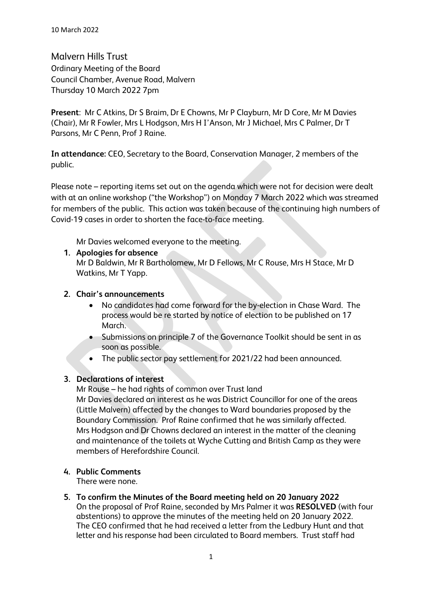Malvern Hills Trust Ordinary Meeting of the Board Council Chamber, Avenue Road, Malvern Thursday 10 March 2022 7pm

**Present**: Mr C Atkins, Dr S Braim, Dr E Chowns, Mr P Clayburn, Mr D Core, Mr M Davies (Chair), Mr R Fowler, Mrs L Hodgson, Mrs H I'Anson, Mr J Michael, Mrs C Palmer, Dr T Parsons, Mr C Penn, Prof J Raine.

**In attendance:** CEO, Secretary to the Board, Conservation Manager, 2 members of the public.

Please note – reporting items set out on the agenda which were not for decision were dealt with at an online workshop ("the Workshop") on Monday 7 March 2022 which was streamed for members of the public. This action was taken because of the continuing high numbers of Covid-19 cases in order to shorten the face-to-face meeting.

Mr Davies welcomed everyone to the meeting.

## **1. Apologies for absence**

Mr D Baldwin, Mr R Bartholomew, Mr D Fellows, Mr C Rouse, Mrs H Stace, Mr D Watkins, Mr T Yapp.

## **2. Chair's announcements**

- No candidates had come forward for the by-election in Chase Ward. The process would be re started by notice of election to be published on 17 March.
- Submissions on principle 7 of the Governance Toolkit should be sent in as soon as possible.
- The public sector pay settlement for 2021/22 had been announced.

# **3. Declarations of interest**

Mr Rouse – he had rights of common over Trust land Mr Davies declared an interest as he was District Councillor for one of the areas (Little Malvern) affected by the changes to Ward boundaries proposed by the Boundary Commission. Prof Raine confirmed that he was similarly affected. Mrs Hodgson and Dr Chowns declared an interest in the matter of the cleaning and maintenance of the toilets at Wyche Cutting and British Camp as they were members of Herefordshire Council.

## **4. Public Comments**

There were none.

**5. To confirm the Minutes of the Board meeting held on 20 January 2022** On the proposal of Prof Raine, seconded by Mrs Palmer it was **RESOLVED** (with four abstentions) to approve the minutes of the meeting held on 20 January 2022. The CEO confirmed that he had received a letter from the Ledbury Hunt and that letter and his response had been circulated to Board members. Trust staff had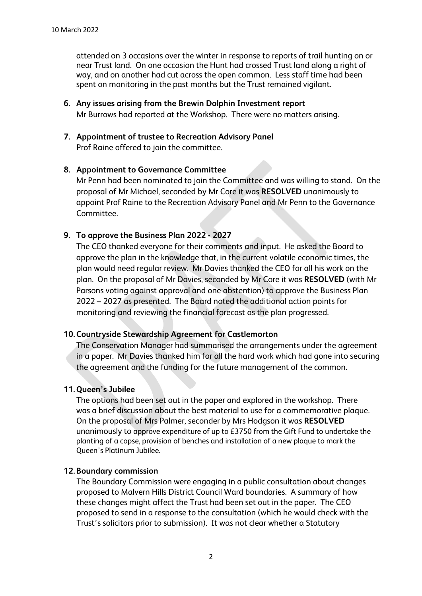attended on 3 occasions over the winter in response to reports of trail hunting on or near Trust land. On one occasion the Hunt had crossed Trust land along a right of way, and on another had cut across the open common. Less staff time had been spent on monitoring in the past months but the Trust remained vigilant.

- **6. Any issues arising from the Brewin Dolphin Investment report**  Mr Burrows had reported at the Workshop. There were no matters arising.
- **7. Appointment of trustee to Recreation Advisory Panel**  Prof Raine offered to join the committee.

#### **8. Appointment to Governance Committee**

Mr Penn had been nominated to join the Committee and was willing to stand. On the proposal of Mr Michael, seconded by Mr Core it was **RESOLVED** unanimously to appoint Prof Raine to the Recreation Advisory Panel and Mr Penn to the Governance Committee.

## **9. To approve the Business Plan 2022 - 2027**

The CEO thanked everyone for their comments and input. He asked the Board to approve the plan in the knowledge that, in the current volatile economic times, the plan would need regular review. Mr Davies thanked the CEO for all his work on the plan. On the proposal of Mr Davies, seconded by Mr Core it was **RESOLVED** (with Mr Parsons voting against approval and one abstention) to approve the Business Plan 2022 – 2027 as presented. The Board noted the additional action points for monitoring and reviewing the financial forecast as the plan progressed.

## **10.Countryside Stewardship Agreement for Castlemorton**

The Conservation Manager had summarised the arrangements under the agreement in a paper. Mr Davies thanked him for all the hard work which had gone into securing the agreement and the funding for the future management of the common.

## **11.Queen's Jubilee**

The options had been set out in the paper and explored in the workshop. There was a brief discussion about the best material to use for a commemorative plaque. On the proposal of Mrs Palmer, seconder by Mrs Hodgson it was **RESOLVED** unanimously to approve expenditure of up to £3750 from the Gift Fund to undertake the planting of a copse, provision of benches and installation of a new plaque to mark the Queen's Platinum Jubilee.

## **12.Boundary commission**

The Boundary Commission were engaging in a public consultation about changes proposed to Malvern Hills District Council Ward boundaries. A summary of how these changes might affect the Trust had been set out in the paper. The CEO proposed to send in a response to the consultation (which he would check with the Trust's solicitors prior to submission). It was not clear whether a Statutory